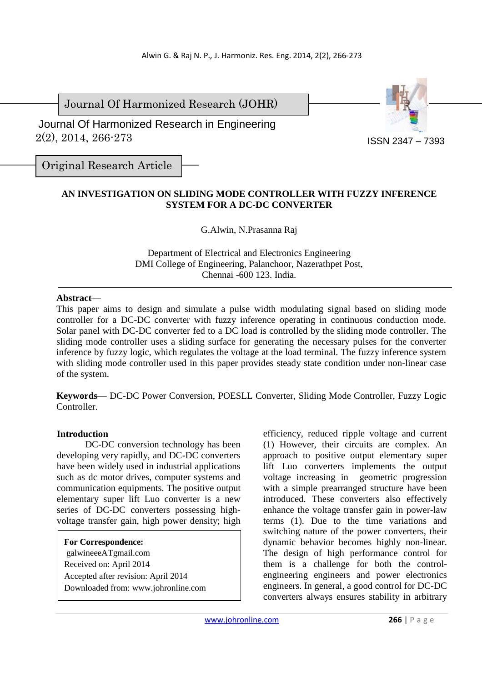Journal Of Harmonized Research (JOHR)

 2(2), 2014, 266-273 Journal Of Harmonized Research in Engineering



Original Research Article

# **AN INVESTIGATION ON SLIDING MODE CONTROLLER WITH FUZZY INFERENCE SYSTEM FOR A DC-DC CONVERTER**

G.Alwin, N.Prasanna Raj

Department of Electrical and Electronics Engineering DMI College of Engineering, Palanchoor, Nazerathpet Post, Chennai -600 123. India.

## **Abstract**—

This paper aims to design and simulate a pulse width modulating signal based on sliding mode controller for a DC-DC converter with fuzzy inference operating in continuous conduction mode. Solar panel with DC-DC converter fed to a DC load is controlled by the sliding mode controller. The sliding mode controller uses a sliding surface for generating the necessary pulses for the converter inference by fuzzy logic, which regulates the voltage at the load terminal. The fuzzy inference system with sliding mode controller used in this paper provides steady state condition under non-linear case of the system.

**Keywords**— DC-DC Power Conversion, POESLL Converter, Sliding Mode Controller, Fuzzy Logic Controller.

## **Introduction**

DC-DC conversion technology has been developing very rapidly, and DC-DC converters have been widely used in industrial applications such as dc motor drives, computer systems and communication equipments. The positive output elementary super lift Luo converter is a new series of DC-DC converters possessing highvoltage transfer gain, high power density; high

**For Correspondence:**  galwineeeATgmail.com Received on: April 2014 Accepted after revision: April 2014 Downloaded from: www.johronline.com efficiency, reduced ripple voltage and current (1) However, their circuits are complex. An approach to positive output elementary super lift Luo converters implements the output voltage increasing in geometric progression with a simple prearranged structure have been introduced. These converters also effectively enhance the voltage transfer gain in power-law terms (1). Due to the time variations and switching nature of the power converters, their dynamic behavior becomes highly non-linear. The design of high performance control for them is a challenge for both the controlengineering engineers and power electronics engineers. In general, a good control for DC-DC converters always ensures stability in arbitrary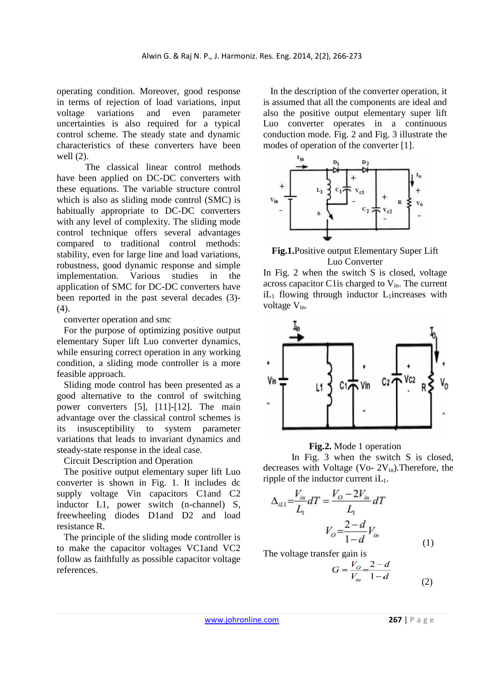operating condition. Moreover, good response in terms of rejection of load variations, input voltage variations and even parameter uncertainties is also required for a typical control scheme. The steady state and dynamic characteristics of these converters have been well (2).

 The classical linear control methods have been applied on DC-DC converters with these equations. The variable structure control which is also as sliding mode control (SMC) is habitually appropriate to DC-DC converters with any level of complexity. The sliding mode control technique offers several advantages compared to traditional control methods: stability, even for large line and load variations, robustness, good dynamic response and simple implementation. Various studies in the application of SMC for DC-DC converters have been reported in the past several decades (3)-  $(4)$ .

converter operation and smc

For the purpose of optimizing positive output elementary Super lift Luo converter dynamics, while ensuring correct operation in any working condition, a sliding mode controller is a more feasible approach.

Sliding mode control has been presented as a good alternative to the control of switching power converters [5], [11]-[12]. The main advantage over the classical control schemes is its insusceptibility to system parameter variations that leads to invariant dynamics and steady-state response in the ideal case.

Circuit Description and Operation

The positive output elementary super lift Luo converter is shown in Fig. 1. It includes dc supply voltage Vin capacitors C1and C2 inductor L1, power switch (n-channel) S. freewheeling diodes D1and D2 and load resistance R.

The principle of the sliding mode controller is to make the capacitor voltages VC1and VC2 follow as faithfully as possible capacitor voltage references.

In the description of the converter operation, it is assumed that all the components are ideal and also the positive output elementary super lift Luo converter operates in a continuous conduction mode. Fig. 2 and Fig. 3 illustrate the modes of operation of the converter [1].



**Fig.1.**Positive output Elementary Super Lift Luo Converter

In Fig. 2 when the switch S is closed, voltage across capacitor C1 is charged to  $V_{in}$ . The current  $iL_1$  flowing through inductor  $L_1$ increases with voltage  $V_{in}$ .



### **Fig.2.** Mode 1 operation

In Fig. 3 when the switch S is closed, decreases with Voltage (Vo-  $2V_{in}$ ). Therefore, the ripple of the inductor current  $iL_1$ .

$$
\Delta_{iL1} = \frac{V_{in}}{L_1} dT = \frac{V_O - 2V_{in}}{L_1} dT
$$

$$
V_O = \frac{2 - d}{1 - d} V_{in} \tag{1}
$$

The voltage transfer gain is

$$
G = \frac{V_o}{V_{in}} = \frac{2 - d}{1 - d} \tag{2}
$$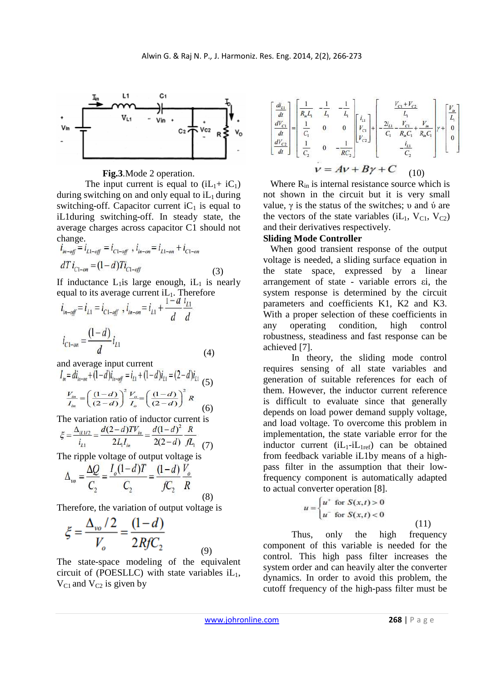

**Fig.3**.Mode 2 operation.

The input current is equal to  $(iL_1 + iC_1)$ during switching on and only equal to  $iL_1$  during switching-off. Capacitor current  $iC_1$  is equal to iL1during switching-off. In steady state, the average charges across capacitor C1 should not change.

$$
\begin{aligned}\ni_{in-off} &= i_{L1-off} = i_{C1-off} \, , \, i_{in-on} = i_{L1-on} + i_{C1-on} \\
dT i_{C1-on} &= (1-d)Ti_{C1-off} \end{aligned} \tag{3}
$$

If inductance  $L_1$  is large enough, i $L_1$  is nearly equal to its average current  $iL_1$ . Therefore

$$
i_{in-off} = i_{L1} = i_{C1-off} , i_{in-on} = i_{L1} + \frac{1 - d}{d} \frac{i_{L1}}{d}
$$

$$
i_{C1-on} = \frac{(1 - d)}{d} i_{L1}
$$
(4)

and average input current

$$
I_{in} = di_{in-on} + (1-d)i_{in-off} = i_{L1} + (1-d)i_{L1} = (2-d)i_{L1}
$$
\n
$$
\frac{V_{in}}{I_{in}} = \left(\frac{(1-d)}{(2-d)}\right)^2 \frac{V_{o}}{I_{o}} = \left(\frac{(1-d)}{(2-d)}\right)^2 R
$$
\n(6)

The variation ratio of inductor current is

$$
\xi = \frac{\Delta_{u_{1/2}}}{i_{L1}} = \frac{d(2-d)TV_{in}}{2L_1I_{in}} = \frac{d(1-d)^2}{2(2-d)} \frac{R}{fL_1}
$$
(7)

The ripple voltage of output voltage is

$$
\Delta_{\nu o} = \frac{\Delta Q}{C_2} = \frac{I_o (1 - d) T}{C_2} = \frac{(1 - d)}{f C_2} \frac{V_o}{R}
$$
\n(8)

Therefore, the variation of output voltage is

$$
\xi = \frac{\Delta_{vo}/2}{V_o} = \frac{(1-d)}{2RfC_2}
$$
 (9)

The state-space modeling of the equivalent circuit of (POESLLC) with state variables  $iL_1$ ,  $V_{C1}$  and  $V_{C2}$  is given by

$$
\begin{bmatrix} \frac{di_{L1}}{dt} \\ \frac{dV_{C1}}{dt} \\ \frac{dV_{C2}}{dt} \end{bmatrix} = \begin{bmatrix} \frac{1}{R_{m}L_{1}} & -\frac{1}{L_{1}} & -\frac{1}{L_{1}} \\ \frac{1}{C_{1}} & 0 & 0 \\ \frac{1}{C_{2}} & 0 & -\frac{1}{RC_{2}} \end{bmatrix} \begin{bmatrix} i_{L1} \\ V_{C1} \\ V_{C2} \end{bmatrix} + \begin{bmatrix} \frac{V_{C1} + V_{C2}}{L_{1}} & V_{L2} \\ -\frac{2i_{L1}}{C_{1}} - \frac{V_{C1}}{R_{m}C_{1}} + \frac{V_{L1}}{R_{m}C_{1}} \\ -\frac{i_{L1}}{C_{2}} \end{bmatrix} \gamma + \begin{bmatrix} \frac{V_{m1}}{L_{1}} \\ 0 \\ 0 \end{bmatrix}
$$
  

$$
V = AV + B\gamma + C \qquad (10)
$$

Where  $R_{in}$  is internal resistance source which is not shown in the circuit but it is very small value,  $γ$  is the status of the switches;  $υ$  and  $ύ$  are the vectors of the state variables  $(iL_1, V_{C1}, V_{C2})$ and their derivatives respectively.

### **Sliding Mode Controller**

When good transient response of the output voltage is needed, a sliding surface equation in the state space, expressed by a linear arrangement of state - variable errors εi, the system response is determined by the circuit parameters and coefficients K1, K2 and K3. With a proper selection of these coefficients in any operating condition, high control robustness, steadiness and fast response can be achieved [7].

In theory, the sliding mode control requires sensing of all state variables and generation of suitable references for each of them. However, the inductor current reference is difficult to evaluate since that generally depends on load power demand supply voltage, and load voltage. To overcome this problem in implementation, the state variable error for the inductor current  $(iL_1-iL_{1ref})$  can be obtained from feedback variable iL1by means of a highpass filter in the assumption that their lowfrequency component is automatically adapted to actual converter operation [8].

$$
u = \begin{cases} u^+ \text{ for } S(x,t) > 0 \\ u^- \text{ for } S(x,t) < 0 \end{cases}
$$
 (11)

Thus, only the high frequency component of this variable is needed for the control. This high pass filter increases the system order and can heavily alter the converter dynamics. In order to avoid this problem, the cutoff frequency of the high-pass filter must be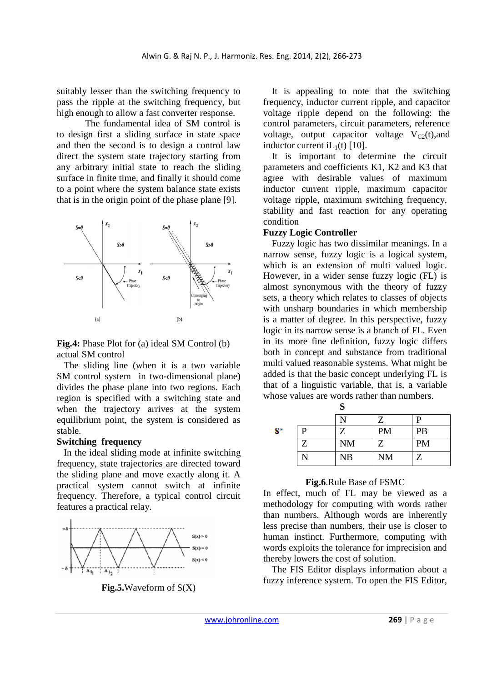suitably lesser than the switching frequency to pass the ripple at the switching frequency, but high enough to allow a fast converter response.

The fundamental idea of SM control is to design first a sliding surface in state space and then the second is to design a control law direct the system state trajectory starting from any arbitrary initial state to reach the sliding surface in finite time, and finally it should come to a point where the system balance state exists that is in the origin point of the phase plane [9].



## **Fig.4:** Phase Plot for (a) ideal SM Control (b) actual SM control

The sliding line (when it is a two variable SM control system in two-dimensional plane) divides the phase plane into two regions. Each region is specified with a switching state and when the trajectory arrives at the system equilibrium point, the system is considered as stable.

### **Switching frequency**

In the ideal sliding mode at infinite switching frequency, state trajectories are directed toward the sliding plane and move exactly along it. A practical system cannot switch at infinite frequency. Therefore, a typical control circuit features a practical relay.



**Fig.5.**Waveform of S(X)

It is appealing to note that the switching frequency, inductor current ripple, and capacitor voltage ripple depend on the following: the control parameters, circuit parameters, reference voltage, output capacitor voltage  $V_{C2}(t)$ , and inductor current iL $_1(t)$  [10].

It is important to determine the circuit parameters and coefficients K1, K2 and K3 that agree with desirable values of maximum inductor current ripple, maximum capacitor voltage ripple, maximum switching frequency, stability and fast reaction for any operating condition

## **Fuzzy Logic Controller**

Fuzzy logic has two dissimilar meanings. In a narrow sense, fuzzy logic is a logical system, which is an extension of multi valued logic. However, in a wider sense fuzzy logic (FL) is almost synonymous with the theory of fuzzy sets, a theory which relates to classes of objects with unsharp boundaries in which membership is a matter of degree. In this perspective, fuzzy logic in its narrow sense is a branch of FL. Even in its more fine definition, fuzzy logic differs both in concept and substance from traditional multi valued reasonable systems. What might be added is that the basic concept underlying FL is that of a linguistic variable, that is, a variable whose values are words rather than numbers.

|    |   | S         |           |           |
|----|---|-----------|-----------|-----------|
|    |   |           | Z         | P         |
| S* | P | Z         | <b>PM</b> | PB        |
|    | Z | <b>NM</b> | Z         | <b>PM</b> |
|    |   | <b>NB</b> | <b>NM</b> | Z         |

#### **Fig.6**.Rule Base of FSMC

In effect, much of FL may be viewed as a methodology for computing with words rather than numbers. Although words are inherently less precise than numbers, their use is closer to human instinct. Furthermore, computing with words exploits the tolerance for imprecision and thereby lowers the cost of solution.

The FIS Editor displays information about a fuzzy inference system. To open the FIS Editor,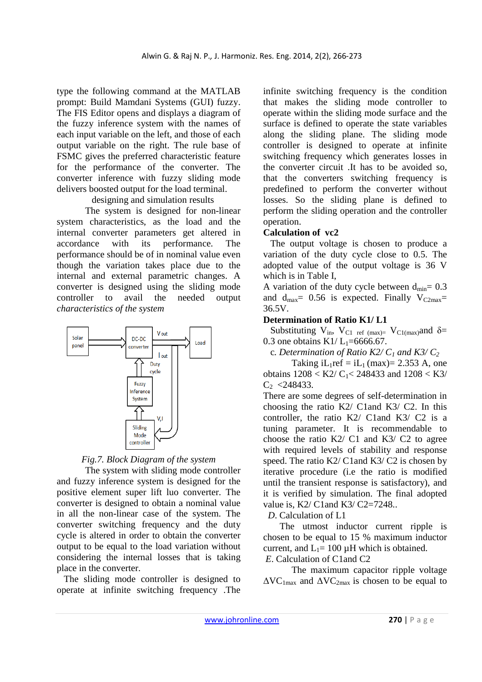type the following command at the MATLAB prompt: Build Mamdani Systems (GUI) fuzzy. The FIS Editor opens and displays a diagram of the fuzzy inference system with the names of each input variable on the left, and those of each output variable on the right. The rule base of FSMC gives the preferred characteristic feature for the performance of the converter. The converter inference with fuzzy sliding mode delivers boosted output for the load terminal.

designing and simulation results

 The system is designed for non-linear system characteristics, as the load and the internal converter parameters get altered in accordance with its performance. The performance should be of in nominal value even though the variation takes place due to the internal and external parametric changes. A converter is designed using the sliding mode controller to avail the needed output *characteristics of the system* 





 The system with sliding mode controller and fuzzy inference system is designed for the positive element super lift luo converter. The converter is designed to obtain a nominal value in all the non-linear case of the system. The converter switching frequency and the duty cycle is altered in order to obtain the converter output to be equal to the load variation without considering the internal losses that is taking place in the converter.

The sliding mode controller is designed to operate at infinite switching frequency .The infinite switching frequency is the condition that makes the sliding mode controller to operate within the sliding mode surface and the surface is defined to operate the state variables along the sliding plane. The sliding mode controller is designed to operate at infinite switching frequency which generates losses in the converter circuit .It has to be avoided so, that the converters switching frequency is predefined to perform the converter without losses. So the sliding plane is defined to perform the sliding operation and the controller operation.

# **Calculation of vc2**

The output voltage is chosen to produce a variation of the duty cycle close to 0.5. The adopted value of the output voltage is 36 V which is in Table I,

A variation of the duty cycle between  $d_{min} = 0.3$ and  $d_{\text{max}} = 0.56$  is expected. Finally  $V_{\text{C2max}} =$ 36.5V.

# **Determination of Ratio K1/ L1**

Substituting  $V_{in}$ ,  $V_{C1}$  ref (max)=  $V_{C1}$ (max)and  $\delta$ = 0.3 one obtains K1/ $L_1$ =6666.67.

c*. Determination of Ratio K2/ C1 and K3/ C<sup>2</sup>*

Taking  $iL_1ref = iL_1$  (max)= 2.353 A, one obtains  $1208 < K2/C<sub>1</sub> < 248433$  and  $1208 < K3/$  $C_2$  <248433.

There are some degrees of self-determination in choosing the ratio K2/ C1and K3/ C2. In this controller, the ratio K2/ C1and K3/ C2 is a tuning parameter. It is recommendable to choose the ratio K2/ C1 and K3/ C2 to agree with required levels of stability and response speed. The ratio K2/ C1 and K3/ C2 is chosen by iterative procedure (i.e the ratio is modified until the transient response is satisfactory), and it is verified by simulation. The final adopted value is, K2/ C1 and K3/ C2=7248..

 *D*. Calculation of L1

 The utmost inductor current ripple is chosen to be equal to 15 % maximum inductor current, and  $L_1$ = 100  $\mu$ H which is obtained.

 *E*. Calculation of C1and C2

The maximum capacitor ripple voltage  $\Delta V\rm{C}_{1max}$  and  $\Delta V\rm{C}_{2max}$  is chosen to be equal to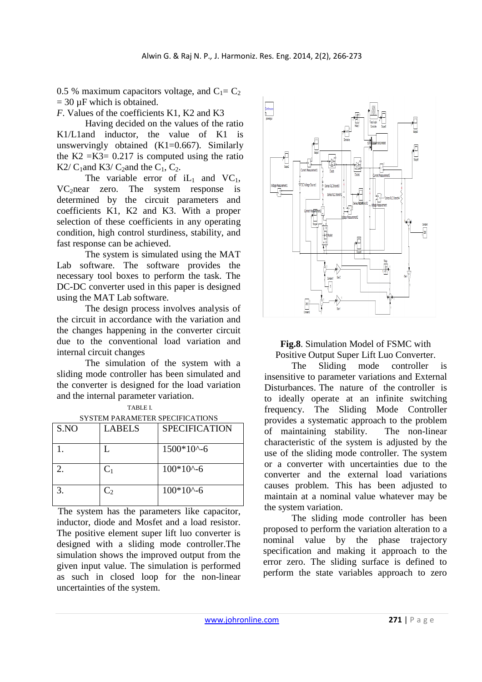0.5 % maximum capacitors voltage, and  $C_1 = C_2$  $= 30 \mu$ F which is obtained.

*F*. Values of the coefficients K1, K2 and K3

 Having decided on the values of the ratio K1/L1and inductor, the value of K1 is unswervingly obtained (K1=0.667). Similarly the K2 = K3 =  $0.217$  is computed using the ratio K2/  $C_1$  and K3/  $C_2$  and the  $C_1$ ,  $C_2$ .

The variable error of  $iL_1$  and  $VC_1$ ,  $VC<sub>2</sub>near zero.$  The system response is determined by the circuit parameters and coefficients K1, K2 and K3. With a proper selection of these coefficients in any operating condition, high control sturdiness, stability, and fast response can be achieved.

The system is simulated using the MAT Lab software. The software provides the necessary tool boxes to perform the task. The DC-DC converter used in this paper is designed using the MAT Lab software.

The design process involves analysis of the circuit in accordance with the variation and the changes happening in the converter circuit due to the conventional load variation and internal circuit changes

The simulation of the system with a sliding mode controller has been simulated and the converter is designed for the load variation and the internal parameter variation.

| S.NO | LABELS  | <b>SPECIFICATION</b> |
|------|---------|----------------------|
|      |         | $1500*10^{\circ}$ -6 |
| 2    | $C_1$   | $100*10^{\circ}$ -6  |
| 3.   | $C_{2}$ | $100*10^{\circ}$ -6  |

| TABLE I.                         |  |
|----------------------------------|--|
| CVCTEM DAD AMETER CRECIEICATIONS |  |

 The system has the parameters like capacitor, inductor, diode and Mosfet and a load resistor. The positive element super lift luo converter is designed with a sliding mode controller.The simulation shows the improved output from the given input value. The simulation is performed as such in closed loop for the non-linear uncertainties of the system.



**Fig.8**. Simulation Model of FSMC with Positive Output Super Lift Luo Converter.

 The Sliding mode controller is insensitive to parameter variations and External Disturbances. The nature of the controller is to ideally operate at an infinite switching frequency. The Sliding Mode Controller provides a systematic approach to the problem of maintaining stability. The non-linear characteristic of the system is adjusted by the use of the sliding mode controller. The system or a converter with uncertainties due to the converter and the external load variations causes problem. This has been adjusted to maintain at a nominal value whatever may be the system variation.

The sliding mode controller has been proposed to perform the variation alteration to a nominal value by the phase trajectory specification and making it approach to the error zero. The sliding surface is defined to perform the state variables approach to zero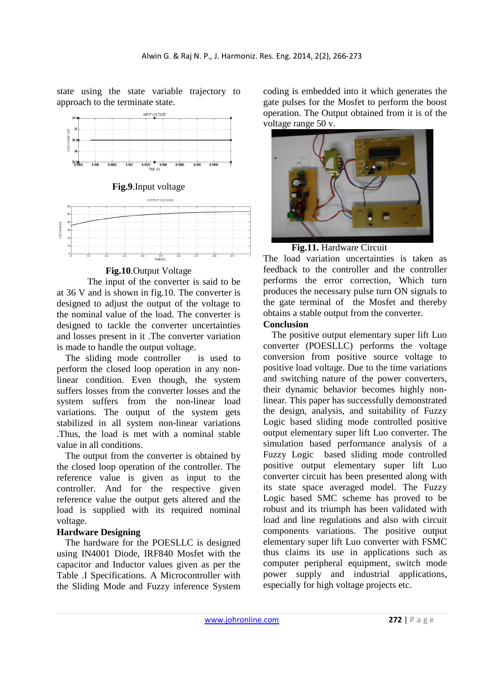state using the state variable trajectory to approach to the terminate state.



# **Fig.10**.Output Voltage

 The input of the converter is said to be at 36 V and is shown in fig.10. The converter is designed to adjust the output of the voltage to the nominal value of the load. The converter is designed to tackle the converter uncertainties and losses present in it .The converter variation is made to handle the output voltage.

The sliding mode controller is used to perform the closed loop operation in any nonlinear condition. Even though, the system suffers losses from the converter losses and the system suffers from the non-linear load variations. The output of the system gets stabilized in all system non-linear variations .Thus, the load is met with a nominal stable value in all conditions.

The output from the converter is obtained by the closed loop operation of the controller. The reference value is given as input to the controller. And for the respective given reference value the output gets altered and the load is supplied with its required nominal voltage.

## **Hardware Designing**

The hardware for the POESLLC is designed using IN4001 Diode, IRF840 Mosfet with the capacitor and Inductor values given as per the Table .I Specifications. A Microcontroller with the Sliding Mode and Fuzzy inference System coding is embedded into it which generates the gate pulses for the Mosfet to perform the boost operation. The Output obtained from it is of the voltage range 50 v.



**Fig.11.** Hardware Circuit

The load variation uncertainties is taken as feedback to the controller and the controller performs the error correction, Which turn produces the necessary pulse turn ON signals to the gate terminal of the Mosfet and thereby obtains a stable output from the converter.

## **Conclusion**

The positive output elementary super lift Luo converter (POESLLC) performs the voltage conversion from positive source voltage to positive load voltage. Due to the time variations and switching nature of the power converters, their dynamic behavior becomes highly nonlinear. This paper has successfully demonstrated the design, analysis, and suitability of Fuzzy Logic based sliding mode controlled positive output elementary super lift Luo converter. The simulation based performance analysis of a Fuzzy Logic based sliding mode controlled positive output elementary super lift Luo converter circuit has been presented along with its state space averaged model. The Fuzzy Logic based SMC scheme has proved to be robust and its triumph has been validated with load and line regulations and also with circuit components variations. The positive output elementary super lift Luo converter with FSMC thus claims its use in applications such as computer peripheral equipment, switch mode power supply and industrial applications, especially for high voltage projects etc.